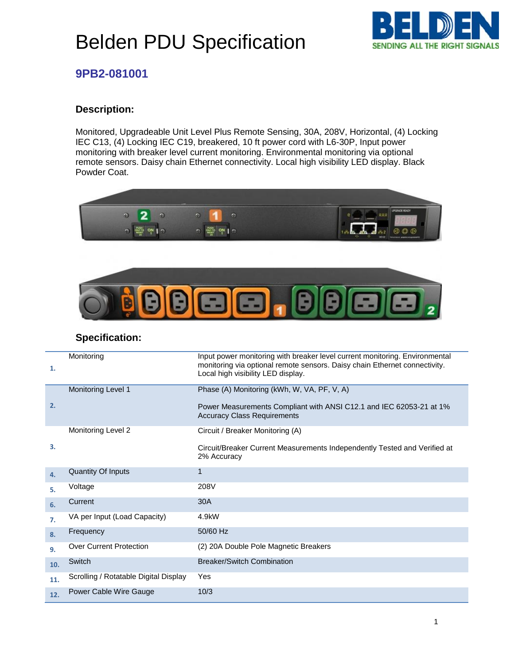## Belden PDU Specification



## **9PB2-081001**

### **Description:**

Monitored, Upgradeable Unit Level Plus Remote Sensing, 30A, 208V, Horizontal, (4) Locking IEC C13, (4) Locking IEC C19, breakered, 10 ft power cord with L6-30P, Input power monitoring with breaker level current monitoring. Environmental monitoring via optional remote sensors. Daisy chain Ethernet connectivity. Local high visibility LED display. Black Powder Coat.



### **Specification:**

| 1.           | Monitoring                            | Input power monitoring with breaker level current monitoring. Environmental<br>monitoring via optional remote sensors. Daisy chain Ethernet connectivity.<br>Local high visibility LED display. |
|--------------|---------------------------------------|-------------------------------------------------------------------------------------------------------------------------------------------------------------------------------------------------|
|              | <b>Monitoring Level 1</b>             | Phase (A) Monitoring (kWh, W, VA, PF, V, A)                                                                                                                                                     |
| 2.           |                                       | Power Measurements Compliant with ANSI C12.1 and IEC 62053-21 at 1%<br><b>Accuracy Class Requirements</b>                                                                                       |
|              | Monitoring Level 2                    | Circuit / Breaker Monitoring (A)                                                                                                                                                                |
| 3.           |                                       | Circuit/Breaker Current Measurements Independently Tested and Verified at<br>2% Accuracy                                                                                                        |
| $\mathbf{4}$ | <b>Quantity Of Inputs</b>             | $\mathbf 1$                                                                                                                                                                                     |
| 5.           | Voltage                               | 208V                                                                                                                                                                                            |
| 6.           | Current                               | 30A                                                                                                                                                                                             |
| 7.           | VA per Input (Load Capacity)          | $4.9$ kW                                                                                                                                                                                        |
| 8.           | Frequency                             | 50/60 Hz                                                                                                                                                                                        |
| 9.           | <b>Over Current Protection</b>        | (2) 20A Double Pole Magnetic Breakers                                                                                                                                                           |
| 10.          | Switch                                | <b>Breaker/Switch Combination</b>                                                                                                                                                               |
| 11.          | Scrolling / Rotatable Digital Display | Yes                                                                                                                                                                                             |
| 12.          | Power Cable Wire Gauge                | 10/3                                                                                                                                                                                            |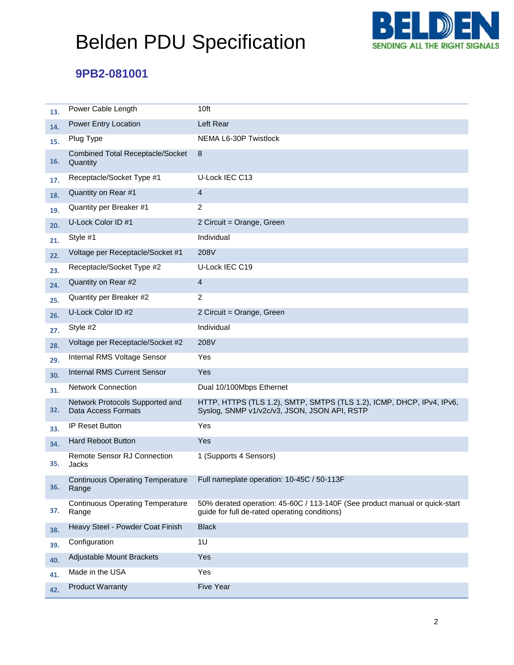# Belden PDU Specification



## **9PB2-081001**

| 13. | Power Cable Length                                     | 10ft                                                                                                                         |
|-----|--------------------------------------------------------|------------------------------------------------------------------------------------------------------------------------------|
| 14. | Power Entry Location                                   | Left Rear                                                                                                                    |
| 15. | Plug Type                                              | NEMA L6-30P Twistlock                                                                                                        |
| 16. | <b>Combined Total Receptacle/Socket</b><br>Quantity    | 8                                                                                                                            |
| 17. | Receptacle/Socket Type #1                              | U-Lock IEC C13                                                                                                               |
| 18. | Quantity on Rear #1                                    | 4                                                                                                                            |
| 19. | Quantity per Breaker #1                                | 2                                                                                                                            |
| 20. | U-Lock Color ID #1                                     | 2 Circuit = Orange, Green                                                                                                    |
| 21. | Style #1                                               | Individual                                                                                                                   |
| 22. | Voltage per Receptacle/Socket #1                       | 208V                                                                                                                         |
| 23. | Receptacle/Socket Type #2                              | U-Lock IEC C19                                                                                                               |
| 24. | Quantity on Rear #2                                    | 4                                                                                                                            |
| 25. | Quantity per Breaker #2                                | $\overline{2}$                                                                                                               |
| 26. | U-Lock Color ID #2                                     | 2 Circuit = Orange, Green                                                                                                    |
| 27. | Style #2                                               | Individual                                                                                                                   |
| 28. | Voltage per Receptacle/Socket #2                       | 208V                                                                                                                         |
| 29. | Internal RMS Voltage Sensor                            | Yes                                                                                                                          |
| 30. | <b>Internal RMS Current Sensor</b>                     | Yes                                                                                                                          |
| 31. | <b>Network Connection</b>                              | Dual 10/100Mbps Ethernet                                                                                                     |
| 32. | Network Protocols Supported and<br>Data Access Formats | HTTP, HTTPS (TLS 1.2), SMTP, SMTPS (TLS 1.2), ICMP, DHCP, IPv4, IPv6,<br>Syslog, SNMP v1/v2c/v3, JSON, JSON API, RSTP        |
| 33. | <b>IP Reset Button</b>                                 | Yes                                                                                                                          |
| 34. | <b>Hard Reboot Button</b>                              | Yes                                                                                                                          |
| 35. | Remote Sensor RJ Connection<br>Jacks                   | 1 (Supports 4 Sensors)                                                                                                       |
| 36. | Range                                                  | Continuous Operating Temperature Full nameplate operation: 10-45C / 50-113F                                                  |
| 37. | <b>Continuous Operating Temperature</b><br>Range       | 50% derated operation: 45-60C / 113-140F (See product manual or quick-start<br>guide for full de-rated operating conditions) |
| 38. | Heavy Steel - Powder Coat Finish                       | <b>Black</b>                                                                                                                 |
| 39. | Configuration                                          | 1U                                                                                                                           |
| 40. | Adjustable Mount Brackets                              | <b>Yes</b>                                                                                                                   |
| 41. | Made in the USA                                        | Yes                                                                                                                          |
| 42. | <b>Product Warranty</b>                                | Five Year                                                                                                                    |